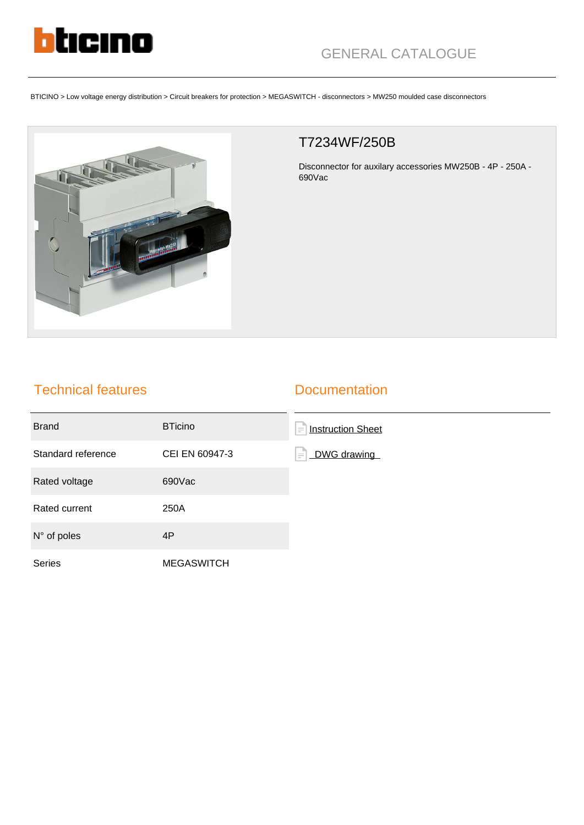

BTICINO > Low voltage energy distribution > Circuit breakers for protection > MEGASWITCH - disconnectors > MW250 moulded case disconnectors



## T7234WF/250B

Disconnector for auxilary accessories MW250B - 4P - 250A - 690Vac

## Technical features

## **Documentation**

| <b>Brand</b>         | <b>BTicino</b>    | F<br><b>Instruction Sheet</b> |
|----------------------|-------------------|-------------------------------|
| Standard reference   | CEI EN 60947-3    | ١÷<br>DWG drawing             |
| Rated voltage        | 690Vac            |                               |
| Rated current        | 250A              |                               |
| $N^{\circ}$ of poles | 4P                |                               |
| <b>Series</b>        | <b>MEGASWITCH</b> |                               |